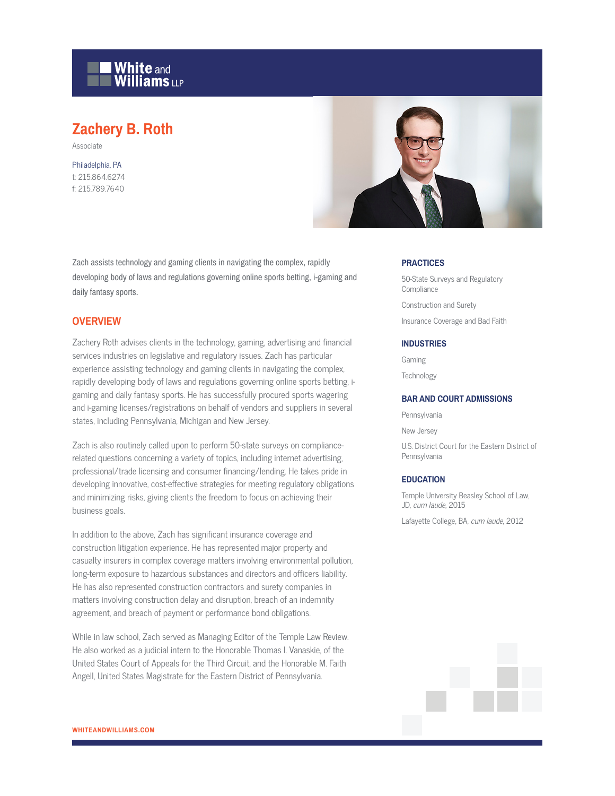

# **Zachery B. Roth**

Associate

Philadelphia, PA t: 215.864.6274 f: 215.789.7640



Zach assists technology and gaming clients in navigating the complex, rapidly developing body of laws and regulations governing online sports betting, i-gaming and daily fantasy sports.

### **OVERVIEW**

Zachery Roth advises clients in the technology, gaming, advertising and financial services industries on legislative and regulatory issues. Zach has particular experience assisting technology and gaming clients in navigating the complex, rapidly developing body of laws and regulations governing online sports betting, igaming and daily fantasy sports. He has successfully procured sports wagering and i-gaming licenses/registrations on behalf of vendors and suppliers in several states, including Pennsylvania, Michigan and New Jersey.

Zach is also routinely called upon to perform 50-state surveys on compliancerelated questions concerning a variety of topics, including internet advertising, professional/trade licensing and consumer financing/lending. He takes pride in developing innovative, cost-effective strategies for meeting regulatory obligations and minimizing risks, giving clients the freedom to focus on achieving their business goals.

In addition to the above, Zach has significant insurance coverage and construction litigation experience. He has represented major property and casualty insurers in complex coverage matters involving environmental pollution, long-term exposure to hazardous substances and directors and officers liability. He has also represented construction contractors and surety companies in matters involving construction delay and disruption, breach of an indemnity agreement, and breach of payment or performance bond obligations.

While in law school, Zach served as Managing Editor of the Temple Law Review. He also worked as a judicial intern to the Honorable Thomas I. Vanaskie, of the United States Court of Appeals for the Third Circuit, and the Honorable M. Faith Angell, United States Magistrate for the Eastern District of Pennsylvania.

#### **PRACTICES**

50-State Surveys and Regulatory **Compliance** Construction and Surety

Insurance Coverage and Bad Faith

#### **INDUSTRIES**

Gaming

Technology

#### **BAR AND COURT ADMISSIONS**

Pennsylvania

New Jersey

U.S. District Court for the Eastern District of Pennsylvania

#### **EDUCATION**

Temple University Beasley School of Law, JD, cum laude, 2015

Lafayette College, BA, cum laude, 2012

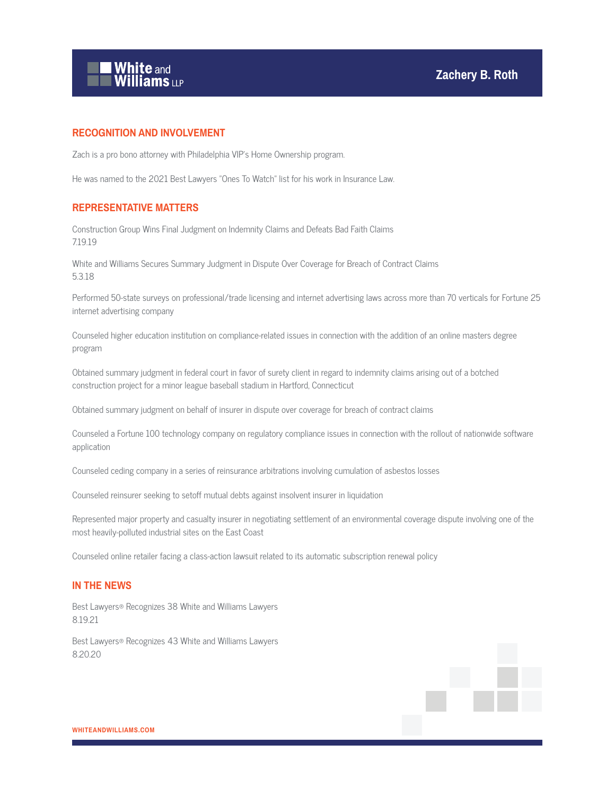

## **RECOGNITION AND INVOLVEMENT**

Zach is a pro bono attorney with Philadelphia VIP's Home Ownership program.

He was named to the 2021 Best Lawyers "Ones To Watch" list for his work in Insurance Law.

## **REPRESENTATIVE MATTERS**

Construction Group Wins Final Judgment on Indemnity Claims and Defeats Bad Faith Claims 7.19.19

White and Williams Secures Summary Judgment in Dispute Over Coverage for Breach of Contract Claims 5.3.18

Performed 50-state surveys on professional/trade licensing and internet advertising laws across more than 70 verticals for Fortune 25 internet advertising company

Counseled higher education institution on compliance-related issues in connection with the addition of an online masters degree program

Obtained summary judgment in federal court in favor of surety client in regard to indemnity claims arising out of a botched construction project for a minor league baseball stadium in Hartford, Connecticut

Obtained summary judgment on behalf of insurer in dispute over coverage for breach of contract claims

Counseled a Fortune 100 technology company on regulatory compliance issues in connection with the rollout of nationwide software application

Counseled ceding company in a series of reinsurance arbitrations involving cumulation of asbestos losses

Counseled reinsurer seeking to setoff mutual debts against insolvent insurer in liquidation

Represented major property and casualty insurer in negotiating settlement of an environmental coverage dispute involving one of the most heavily-polluted industrial sites on the East Coast

Counseled online retailer facing a class-action lawsuit related to its automatic subscription renewal policy

#### **IN THE NEWS**

Best Lawyers® Recognizes 38 White and Williams Lawyers 8.19.21

Best Lawyers® Recognizes 43 White and Williams Lawyers 8.20.20

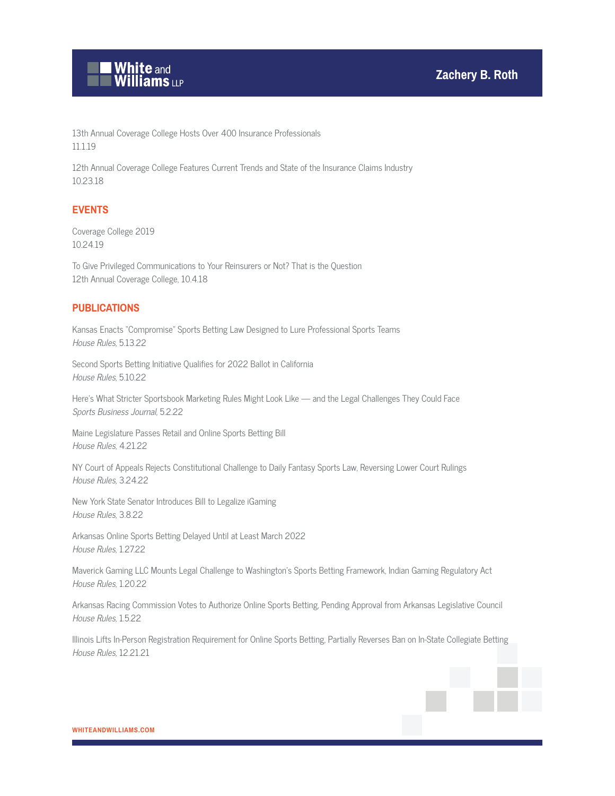

13th Annual Coverage College Hosts Over 400 Insurance Professionals 11.1.19

12th Annual Coverage College Features Current Trends and State of the Insurance Claims Industry 10.23.18

# **EVENTS**

Coverage College 2019 10.24.19

To Give Privileged Communications to Your Reinsurers or Not? That is the Question 12th Annual Coverage College, 10.4.18

## **PUBLICATIONS**

Kansas Enacts "Compromise" Sports Betting Law Designed to Lure Professional Sports Teams House Rules, 5.13.22

Second Sports Betting Initiative Qualifies for 2022 Ballot in California House Rules, 5.10.22

Here's What Stricter Sportsbook Marketing Rules Might Look Like — and the Legal Challenges They Could Face Sports Business Journal, 5.2.22

Maine Legislature Passes Retail and Online Sports Betting Bill House Rules, 4.21.22

NY Court of Appeals Rejects Constitutional Challenge to Daily Fantasy Sports Law, Reversing Lower Court Rulings House Rules, 3.24.22

New York State Senator Introduces Bill to Legalize iGaming House Rules, 3.8.22

Arkansas Online Sports Betting Delayed Until at Least March 2022 House Rules, 1.27.22

Maverick Gaming LLC Mounts Legal Challenge to Washington's Sports Betting Framework, Indian Gaming Regulatory Act House Rules, 1.20.22

Arkansas Racing Commission Votes to Authorize Online Sports Betting, Pending Approval from Arkansas Legislative Council House Rules, 1.5.22

Illinois Lifts In-Person Registration Requirement for Online Sports Betting, Partially Reverses Ban on In-State Collegiate Betting House Rules, 12.21.21

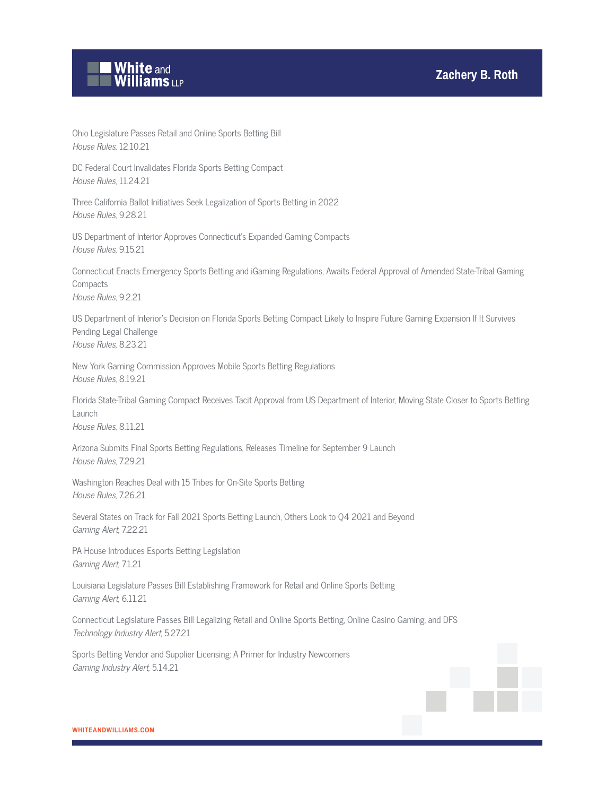

Ohio Legislature Passes Retail and Online Sports Betting Bill House Rules, 12.10.21

DC Federal Court Invalidates Florida Sports Betting Compact House Rules, 11.24.21

Three California Ballot Initiatives Seek Legalization of Sports Betting in 2022 House Rules, 9.28.21

US Department of Interior Approves Connecticut's Expanded Gaming Compacts House Rules, 9.15.21

Connecticut Enacts Emergency Sports Betting and iGaming Regulations, Awaits Federal Approval of Amended State-Tribal Gaming **Compacts** House Rules, 9.2.21

US Department of Interior's Decision on Florida Sports Betting Compact Likely to Inspire Future Gaming Expansion If It Survives Pending Legal Challenge House Rules, 8.23.21

New York Gaming Commission Approves Mobile Sports Betting Regulations House Rules, 8.19.21

Florida State-Tribal Gaming Compact Receives Tacit Approval from US Department of Interior, Moving State Closer to Sports Betting Launch House Rules, 8.11.21

Arizona Submits Final Sports Betting Regulations, Releases Timeline for September 9 Launch House Rules, 7.29.21

Washington Reaches Deal with 15 Tribes for On-Site Sports Betting House Rules, 7.26.21

Several States on Track for Fall 2021 Sports Betting Launch, Others Look to Q4 2021 and Beyond Gaming Alert, 7.22.21

PA House Introduces Esports Betting Legislation Gaming Alert, 7.1.21

Louisiana Legislature Passes Bill Establishing Framework for Retail and Online Sports Betting Gaming Alert, 6.11.21

Connecticut Legislature Passes Bill Legalizing Retail and Online Sports Betting, Online Casino Gaming, and DFS Technology Industry Alert, 5.27.21

Sports Betting Vendor and Supplier Licensing: A Primer for Industry Newcomers Gaming Industry Alert, 5.14.21